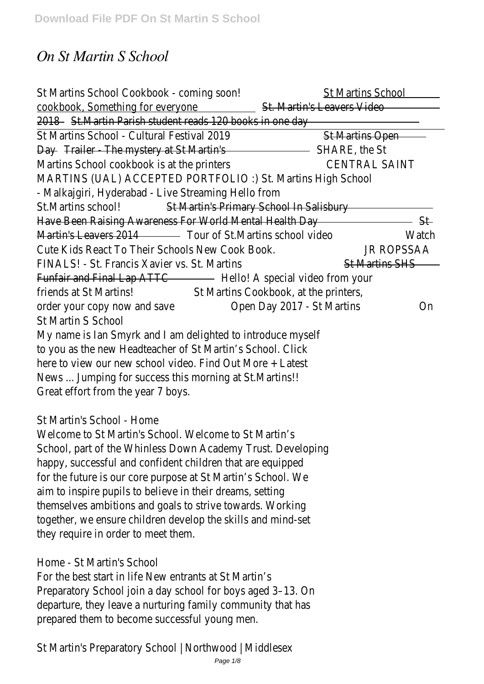# *On St Martin S School*

| St Martins School Cookbook - coming soon!                                                                               | <b>St Martins School</b>   |       |  |
|-------------------------------------------------------------------------------------------------------------------------|----------------------------|-------|--|
| cookbook, Something for everyone St. Martin's Leavers Video                                                             |                            |       |  |
| 2018 St. Martin Parish student reads 120 books in one day                                                               |                            |       |  |
| St Martins School - Cultural Festival 2019                                                                              | St Martins Open            |       |  |
| Day Trailer - The mystery at St Martin's <b>Committee Contract Contract St Day</b> Trailer - The mystery at St Martin's |                            |       |  |
| Martins School cookbook is at the printers                                                                              | <b>CENTRAL SAINT</b>       |       |  |
| MARTINS (UAL) ACCEPTED PORTFOLIO:) St. Martins High School                                                              |                            |       |  |
| - Malkajgiri, Hyderabad - Live Streaming Hello from                                                                     |                            |       |  |
| St.Martins school!<br>St Martin's Primary School In Salisbury                                                           |                            |       |  |
| Have Been Raising Awareness For World Mental Health Day                                                                 |                            | — St  |  |
| Martin's Leavers 2014 Tour of St. Martins school video                                                                  |                            | Watch |  |
| Cute Kids React To Their Schools New Cook Book.                                                                         | <b>JR ROPSSAA</b>          |       |  |
| FINALS! - St. Francis Xavier vs. St. Martins                                                                            | <b>St Martins SHS</b>      |       |  |
| Funfair and Final Lap ATTC The Hello! A special video from your                                                         |                            |       |  |
| friends at St Martins! St Martins Cookbook, at the printers,                                                            |                            |       |  |
| order your copy now and save                                                                                            | Open Day 2017 - St Martins | On    |  |
| <b>St Martin S School</b>                                                                                               |                            |       |  |
| My name is lan Smyrk and I am delighted to introduce myself                                                             |                            |       |  |
| to you as the new Headteacher of St Martin's School. Click                                                              |                            |       |  |
| here to view our new school video. Find Out More + Latest                                                               |                            |       |  |
| News  Jumping for success this morning at St. Martins!!                                                                 |                            |       |  |
| Great effort from the year 7 boys.                                                                                      |                            |       |  |
|                                                                                                                         |                            |       |  |

# St Martin's School - Home

Welcome to St Martin's School. Welcome to St Martin's School, part of the Whinless Down Academy Trust. Developing happy, successful and confident children that are equipped for the future is our core purpose at St Martin's School. We aim to inspire pupils to believe in their dreams, setting themselves ambitions and goals to strive towards. Working together, we ensure children develop the skills and mind-set they require in order to meet them.

#### Home - St Martin's School

For the best start in life New entrants at St Martin's Preparatory School join a day school for boys aged 3–13. On departure, they leave a nurturing family community that has prepared them to become successful young men.

St Martin's Preparatory School | Northwood | Middlesex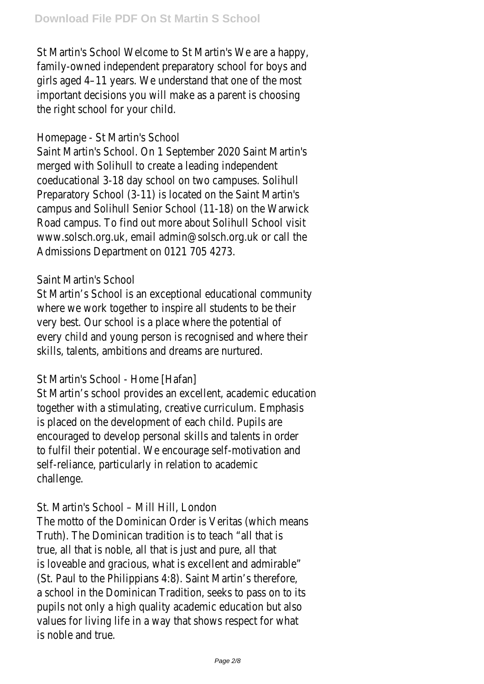St Martin's School Welcome to St Martin's We are a happy, family-owned independent preparatory school for boys and girls aged 4–11 years. We understand that one of the most important decisions you will make as a parent is choosing the right school for your child.

#### Homepage - St Martin's School

Saint Martin's School. On 1 September 2020 Saint Martin's merged with Solihull to create a leading independent coeducational 3-18 day school on two campuses. Solihull Preparatory School (3-11) is located on the Saint Martin's campus and Solihull Senior School (11-18) on the Warwick Road campus. To find out more about Solihull School visit www.solsch.org.uk, email admin@solsch.org.uk or call the Admissions Department on 0121 705 4273.

#### Saint Martin's School

St Martin's School is an exceptional educational community where we work together to inspire all students to be their very best. Our school is a place where the potential of every child and young person is recognised and where their skills, talents, ambitions and dreams are nurtured.

# St Martin's School - Home [Hafan]

St Martin's school provides an excellent, academic education together with a stimulating, creative curriculum. Emphasis is placed on the development of each child. Pupils are encouraged to develop personal skills and talents in order to fulfil their potential. We encourage self-motivation and self-reliance, particularly in relation to academic challenge.

#### St. Martin's School – Mill Hill, London

The motto of the Dominican Order is Veritas (which means Truth). The Dominican tradition is to teach "all that is true, all that is noble, all that is just and pure, all that is loveable and gracious, what is excellent and admirable" (St. Paul to the Philippians 4:8). Saint Martin's therefore, a school in the Dominican Tradition, seeks to pass on to its pupils not only a high quality academic education but also values for living life in a way that shows respect for what is noble and true.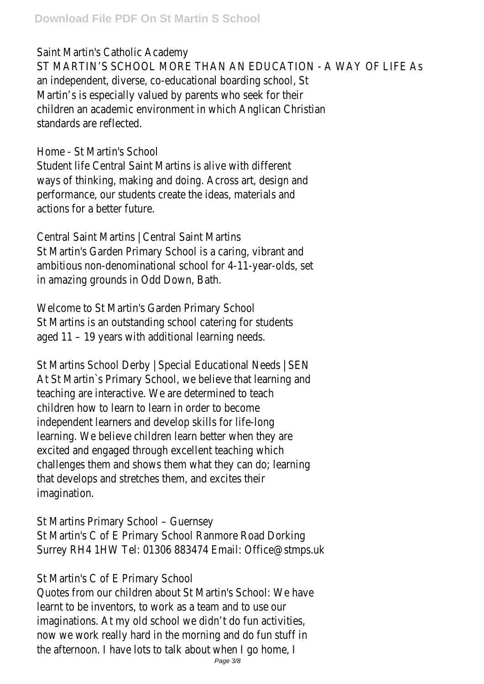#### Saint Martin's Catholic Academy

ST MARTIN'S SCHOOL MORE THAN AN EDUCATION - A WAY OF LIFE As an independent, diverse, co-educational boarding school, St Martin's is especially valued by parents who seek for their children an academic environment in which Anglican Christian standards are reflected.

#### Home - St Martin's School

Student life Central Saint Martins is alive with different ways of thinking, making and doing. Across art, design and performance, our students create the ideas, materials and actions for a better future.

Central Saint Martins | Central Saint Martins St Martin's Garden Primary School is a caring, vibrant and ambitious non-denominational school for 4-11-year-olds, set in amazing grounds in Odd Down, Bath.

Welcome to St Martin's Garden Primary School St Martins is an outstanding school catering for students aged 11 – 19 years with additional learning needs.

St Martins School Derby | Special Educational Needs | SEN At St Martin`s Primary School, we believe that learning and teaching are interactive. We are determined to teach children how to learn to learn in order to become independent learners and develop skills for life-long learning. We believe children learn better when they are excited and engaged through excellent teaching which challenges them and shows them what they can do; learning that develops and stretches them, and excites their imagination.

St Martins Primary School – Guernsey

St Martin's C of E Primary School Ranmore Road Dorking Surrey RH4 1HW Tel: 01306 883474 Email: Office@stmps.uk

# St Martin's C of E Primary School

Quotes from our children about St Martin's School: We have learnt to be inventors, to work as a team and to use our imaginations. At my old school we didn't do fun activities, now we work really hard in the morning and do fun stuff in the afternoon. I have lots to talk about when I go home, I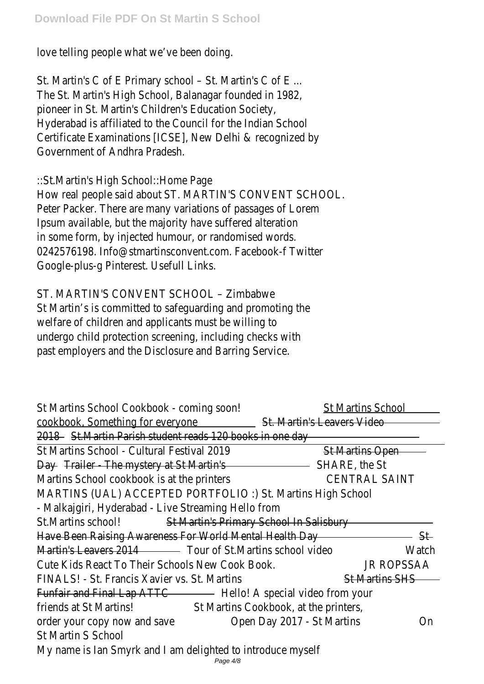love telling people what we've been doing.

St. Martin's C of E Primary school – St. Martin's C of E ... The St. Martin's High School, Balanagar founded in 1982, pioneer in St. Martin's Children's Education Society, Hyderabad is affiliated to the Council for the Indian School Certificate Examinations [ICSE], New Delhi & recognized by Government of Andhra Pradesh.

::St.Martin's High School::Home Page How real people said about ST. MARTIN'S CONVENT SCHOOL. Peter Packer. There are many variations of passages of Lorem Ipsum available, but the majority have suffered alteration in some form, by injected humour, or randomised words. 0242576198. Info@stmartinsconvent.com. Facebook-f Twitter Google-plus-g Pinterest. Usefull Links.

ST. MARTIN'S CONVENT SCHOOL – Zimbabwe

St Martin's is committed to safeguarding and promoting the welfare of children and applicants must be willing to undergo child protection screening, including checks with past employers and the Disclosure and Barring Service.

| St Martins School Cookbook - coming soon!                       | <b>St Martins School</b>         |  |
|-----------------------------------------------------------------|----------------------------------|--|
| cookbook, Something for everyone                                | St. Martin's Leavers Video       |  |
| 2018 St. Martin Parish student reads 120 books in one day       |                                  |  |
| St Martins School - Cultural Festival 2019                      | <b>St Martins Open</b>           |  |
| Day Trailer - The mystery at St Martin's                        | SHARE, the St                    |  |
| Martins School cookbook is at the printers                      | <b>CENTRAL SAINT</b>             |  |
| MARTINS (UAL) ACCEPTED PORTFOLIO :) St. Martins High School     |                                  |  |
| - Malkajgiri, Hyderabad - Live Streaming Hello from             |                                  |  |
| St.Martins school!<br>St Martin's Primary School In Salisbury   |                                  |  |
| Have Been Raising Awareness For World Mental Health Day<br>St   |                                  |  |
| Martin's Leavers 2014 Tour of St. Martins school video          | Watch                            |  |
| Cute Kids React To Their Schools New Cook Book.                 | <b>JR ROPSSAA</b>                |  |
| FINALS! - St. Francis Xavier vs. St. Martins                    | <b>St Martins SHS</b>            |  |
| Funfair and Final Lap ATTC The Hello! A special video from your |                                  |  |
| friends at St Martins!<br>St Martins Cookbook, at the printers, |                                  |  |
| order your copy now and save                                    | Open Day 2017 - St Martins<br>0n |  |
| <b>St Martin S School</b>                                       |                                  |  |
| My name is lan Smyrk and I am delighted to introduce myself     |                                  |  |
| Page 4/8                                                        |                                  |  |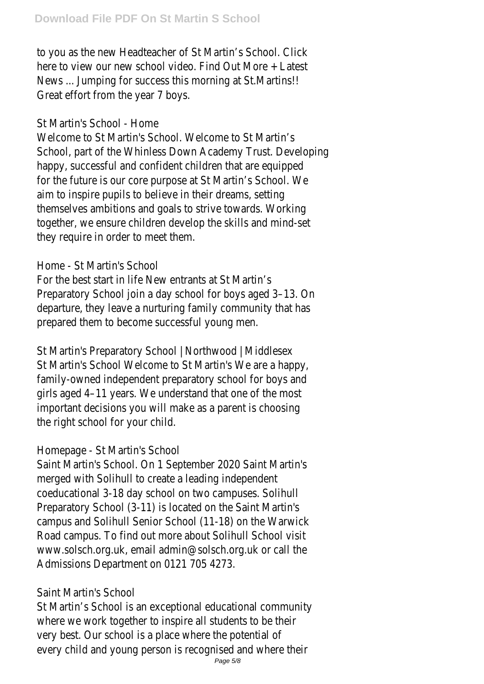to you as the new Headteacher of St Martin's School. Click here to view our new school video. Find Out More + Latest News ... Jumping for success this morning at St.Martins!! Great effort from the year 7 boys.

#### St Martin's School - Home

Welcome to St Martin's School. Welcome to St Martin's School, part of the Whinless Down Academy Trust. Developing happy, successful and confident children that are equipped for the future is our core purpose at St Martin's School. We aim to inspire pupils to believe in their dreams, setting themselves ambitions and goals to strive towards. Working together, we ensure children develop the skills and mind-set they require in order to meet them.

# Home - St Martin's School

For the best start in life New entrants at St Martin's Preparatory School join a day school for boys aged 3–13. On departure, they leave a nurturing family community that has prepared them to become successful young men.

St Martin's Preparatory School | Northwood | Middlesex St Martin's School Welcome to St Martin's We are a happy, family-owned independent preparatory school for boys and girls aged 4–11 years. We understand that one of the most important decisions you will make as a parent is choosing the right school for your child.

# Homepage - St Martin's School

Saint Martin's School. On 1 September 2020 Saint Martin's merged with Solihull to create a leading independent coeducational 3-18 day school on two campuses. Solihull Preparatory School (3-11) is located on the Saint Martin's campus and Solihull Senior School (11-18) on the Warwick Road campus. To find out more about Solihull School visit www.solsch.org.uk, email admin@solsch.org.uk or call the Admissions Department on 0121 705 4273.

# Saint Martin's School

St Martin's School is an exceptional educational community where we work together to inspire all students to be their very best. Our school is a place where the potential of every child and young person is recognised and where their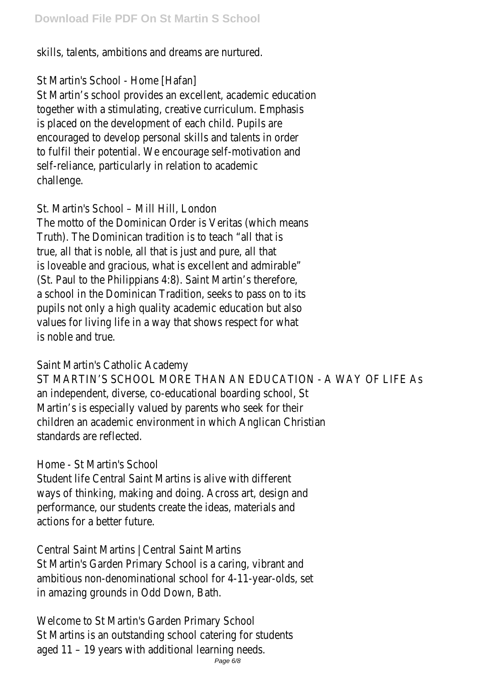skills, talents, ambitions and dreams are nurtured.

# St Martin's School - Home [Hafan]

St Martin's school provides an excellent, academic education together with a stimulating, creative curriculum. Emphasis is placed on the development of each child. Pupils are encouraged to develop personal skills and talents in order to fulfil their potential. We encourage self-motivation and self-reliance, particularly in relation to academic challenge.

# St. Martin's School – Mill Hill, London

The motto of the Dominican Order is Veritas (which means Truth). The Dominican tradition is to teach "all that is true, all that is noble, all that is just and pure, all that is loveable and gracious, what is excellent and admirable" (St. Paul to the Philippians 4:8). Saint Martin's therefore, a school in the Dominican Tradition, seeks to pass on to its pupils not only a high quality academic education but also values for living life in a way that shows respect for what is noble and true.

# Saint Martin's Catholic Academy

ST MARTIN'S SCHOOL MORE THAN AN EDUCATION - A WAY OF LIFE As an independent, diverse, co-educational boarding school, St Martin's is especially valued by parents who seek for their children an academic environment in which Anglican Christian standards are reflected.

# Home - St Martin's School

Student life Central Saint Martins is alive with different ways of thinking, making and doing. Across art, design and performance, our students create the ideas, materials and actions for a better future.

Central Saint Martins | Central Saint Martins St Martin's Garden Primary School is a caring, vibrant and ambitious non-denominational school for 4-11-year-olds, set in amazing grounds in Odd Down, Bath.

Welcome to St Martin's Garden Primary School St Martins is an outstanding school catering for students aged 11 – 19 years with additional learning needs.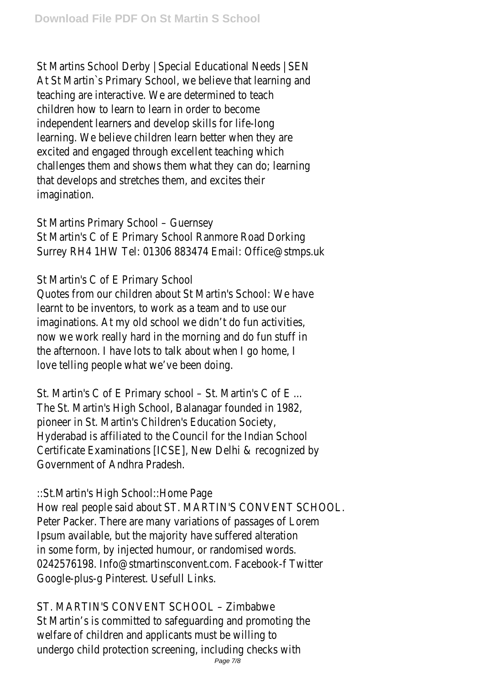St Martins School Derby | Special Educational Needs | SEN At St Martin`s Primary School, we believe that learning and teaching are interactive. We are determined to teach children how to learn to learn in order to become independent learners and develop skills for life-long learning. We believe children learn better when they are excited and engaged through excellent teaching which challenges them and shows them what they can do; learning that develops and stretches them, and excites their imagination.

St Martins Primary School – Guernsey

St Martin's C of E Primary School Ranmore Road Dorking Surrey RH4 1HW Tel: 01306 883474 Email: Office@stmps.uk

St Martin's C of E Primary School

Quotes from our children about St Martin's School: We have learnt to be inventors, to work as a team and to use our imaginations. At my old school we didn't do fun activities, now we work really hard in the morning and do fun stuff in the afternoon. I have lots to talk about when I go home, I love telling people what we've been doing.

St. Martin's C of E Primary school – St. Martin's C of E ... The St. Martin's High School, Balanagar founded in 1982, pioneer in St. Martin's Children's Education Society, Hyderabad is affiliated to the Council for the Indian School Certificate Examinations [ICSE], New Delhi & recognized by Government of Andhra Pradesh.

# ::St.Martin's High School::Home Page

How real people said about ST. MARTIN'S CONVENT SCHOOL. Peter Packer. There are many variations of passages of Lorem Ipsum available, but the majority have suffered alteration in some form, by injected humour, or randomised words. 0242576198. Info@stmartinsconvent.com. Facebook-f Twitter Google-plus-g Pinterest. Usefull Links.

ST. MARTIN'S CONVENT SCHOOL – Zimbabwe St Martin's is committed to safeguarding and promoting the welfare of children and applicants must be willing to undergo child protection screening, including checks with Page 7/8